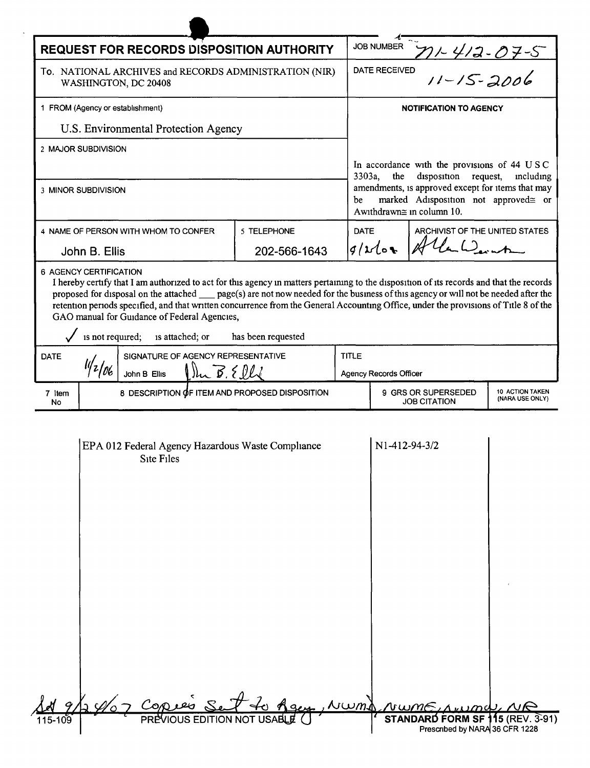| <b>REQUEST FOR RECORDS DISPOSITION AUTHORITY</b>                                                |  |              |                                              |                                                |              | <b>JOB NUMBER</b>                                                                                                      |                                                                        |                                                                                                                                      |  |
|-------------------------------------------------------------------------------------------------|--|--------------|----------------------------------------------|------------------------------------------------|--------------|------------------------------------------------------------------------------------------------------------------------|------------------------------------------------------------------------|--------------------------------------------------------------------------------------------------------------------------------------|--|
| To. NATIONAL ARCHIVES and RECORDS ADMINISTRATION (NIR)<br>WASHINGTON, DC 20408                  |  |              |                                              |                                                |              | $71 - 412 - 07 - 5$<br>DATE RECEIVED                                                                                   |                                                                        |                                                                                                                                      |  |
| 1 FROM (Agency or establishment)                                                                |  |              |                                              |                                                |              | <b>NOTIFICATION TO AGENCY</b>                                                                                          |                                                                        |                                                                                                                                      |  |
| U.S. Environmental Protection Agency                                                            |  |              |                                              |                                                |              |                                                                                                                        |                                                                        |                                                                                                                                      |  |
| 2 MAJOR SUBDIVISION                                                                             |  |              |                                              |                                                |              |                                                                                                                        |                                                                        |                                                                                                                                      |  |
|                                                                                                 |  |              |                                              |                                                |              | 3303a,<br>the                                                                                                          | In accordance with the provisions of 44 USC<br>disposition<br>request, | mcluding                                                                                                                             |  |
| 3 MINOR SUBDIVISION                                                                             |  |              |                                              |                                                | be           | amendments, is approved except for items that may<br>marked Adisposition not approved≅ or<br>Awithdrawn≅ in column 10. |                                                                        |                                                                                                                                      |  |
| 4 NAME OF PERSON WITH WHOM TO CONFER                                                            |  |              | 5 TELEPHONE                                  | <b>DATE</b>                                    |              | ARCHIVIST OF THE UNITED STATES                                                                                         |                                                                        |                                                                                                                                      |  |
| John B. Ellis                                                                                   |  |              | 202-566-1643                                 |                                                | $g/\nu l$ or |                                                                                                                        |                                                                        |                                                                                                                                      |  |
| is not required;<br>is attached; or<br>has been requested<br>SIGNATURE OF AGENCY REPRESENTATIVE |  |              |                                              |                                                |              |                                                                                                                        |                                                                        |                                                                                                                                      |  |
|                                                                                                 |  |              | GAO manual for Guidance of Federal Agencies, |                                                |              |                                                                                                                        |                                                                        |                                                                                                                                      |  |
| <b>DATE</b>                                                                                     |  | John B Ellis | Mu B. Elli                                   |                                                | <b>TITLE</b> | Agency Records Officer                                                                                                 |                                                                        | retention periods specified, and that written concurrence from the General Accounting Office, under the provisions of Title 8 of the |  |
| 7 Item<br>No                                                                                    |  |              |                                              | 8 DESCRIPTION OF ITEM AND PROPOSED DISPOSITION |              |                                                                                                                        | 9 GRS OR SUPERSEDED<br><b>JOB CITATION</b>                             | 10 ACTION TAKEN<br>(NARA USE ONLY)                                                                                                   |  |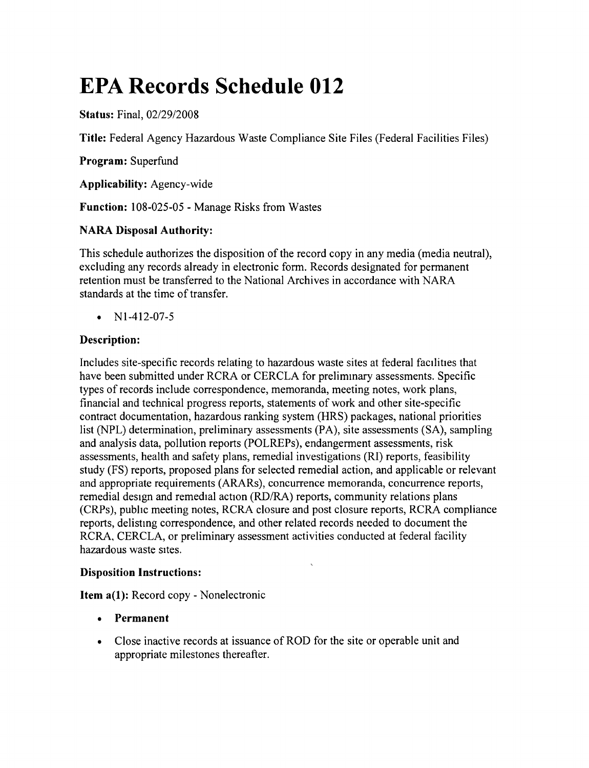# **EPA Records Schedule 012**

**Status:** Final, *02/29/2008*

**Title:** Federal Agency Hazardous Waste Compliance Site Files (Federal Facilities Files)

**Program:** Superfund

**Applicability:** Agency-wide

**Function:** 108-025-05 - Manage Risks from Wastes

# **NARA Disposal Authority:**

This schedule authorizes the disposition of the record copy in any media (media neutral), excluding any records already in electronic form. Records designated for permanent retention must be transferred to the National Archives in accordance with NARA standards at the time of transfer.

•  $N1-412-07-5$ 

# **Description:**

Includes site-specific records relating to hazardous waste sites at federal facilities that have been submitted under RCRA or CERCLA for prelimmary assessments. Specific types of records include correspondence, memoranda, meeting notes, work plans, financial and technical progress reports, statements of work and other site-specific contract documentation, hazardous ranking system (HRS) packages, national priorities list (NPL) determination, preliminary assessments (PA), site assessments (SA), sampling and analysis data, pollution reports (POLREPs), endangerment assessments, risk assessments, health and safety plans, remedial investigations (RI) reports, feasibility study (FS) reports, proposed plans for selected remedial action, and applicable or relevant and appropriate requirements (ARARs), concurrence memoranda, concurrence reports, remedial design and remedial action *(RD/RA)* reports, community relations plans (CRPs), pubhc meeting notes, RCRA closure and post closure reports, RCRA compliance reports, delistmg correspondence, and other related records needed to document the RCRA, CERCLA, or preliminary assessment activities conducted at federal facility hazardous waste sites.

# **Disposition Instructions:**

**Item a(I):** Record copy - Nonelectronic

- **• Permanent**
- Close inactive records at issuance of ROD for the site or operable unit and appropriate milestones thereafter.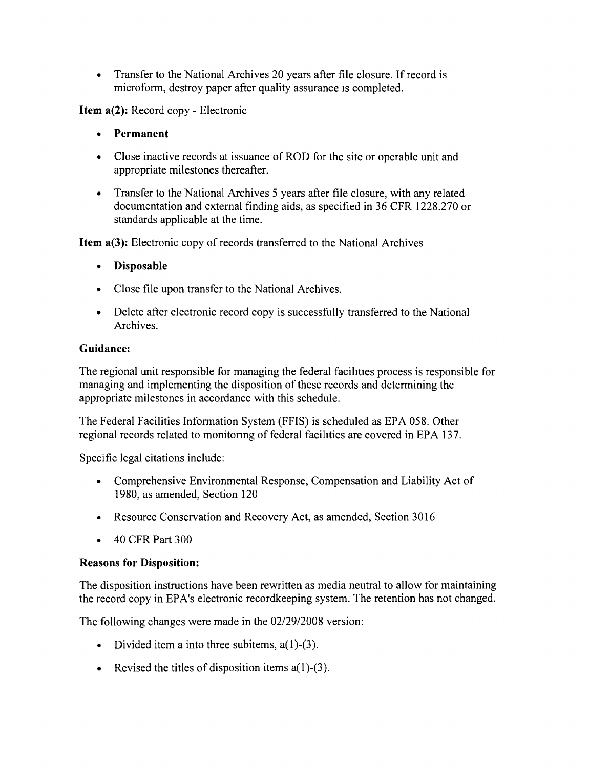• Transfer to the National Archives 20 years after file closure. If record is microform, destroy paper after quality assurance is completed.

Item a(2): Record copy - Electronic

- **Permanent**
- Close inactive records at issuance of ROD for the site or operable unit and appropriate milestones thereafter.
- Transfer to the National Archives 5 years after file closure, with any related documentation and external finding aids, as specified in 36 CFR 1228.270 or standards applicable at the time.

Item a(3): Electronic copy of records transferred to the National Archives

- • Disposable
- Close file upon transfer to the National Archives.
- Delete after electronic record copy is successfully transferred to the National Archives.

#### Guidance:

The regional unit responsible for managing the federal facihties process is responsible for managing and implementing the disposition of these records and determining the appropriate milestones in accordance with this schedule.

The Federal Facilities Information System (FFIS) is scheduled as EPA 058. Other regional records related to monitonng of federal facilities are covered in EPA 137.

Specific legal citations include:

- Comprehensive Environmental Response, Compensation and Liability Act of 1980, as amended, Section 120
- Resource Conservation and Recovery Act, as amended, Section 3016
- 40 CFR Part 300

#### Reasons for Disposition:

The disposition instructions have been rewritten as media neutral to allow for maintaining the record copy in EPA's electronic recordkeeping system. The retention has not changed.

The following changes were made in the *02/29/2008* version:

- Divided item a into three subitems,  $a(1)-(3)$ .
- Revised the titles of disposition items  $a(1)-(3)$ .